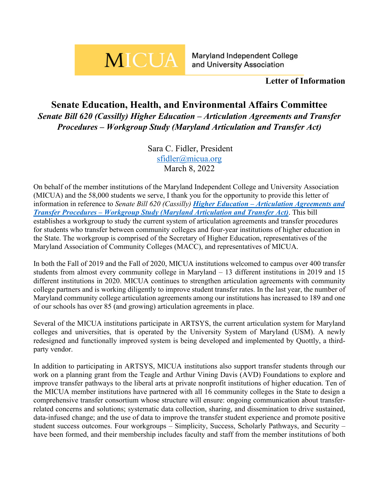## **MICUA**

Maryland Independent College and University Association

## **Letter of Information**

## **Senate Education, Health, and Environmental Affairs Committee** *Senate Bill 620 (Cassilly) Higher Education – Articulation Agreements and Transfer Procedures – Workgroup Study (Maryland Articulation and Transfer Act)*

Sara C. Fidler, President [sfidler@micua.org](mailto:sfidler@micua.org) March 8, 2022

On behalf of the member institutions of the Maryland Independent College and University Association (MICUA) and the 58,000 students we serve, I thank you for the opportunity to provide this letter of information in reference to *Senate Bill 620 (Cassilly) Higher Education – [Articulation Agreements and](https://mgaleg.maryland.gov/mgawebsite/Legislation/Details/sb0620)  Transfer Procedures – [Workgroup Study \(Maryland Articulation and Transfer Act\)](https://mgaleg.maryland.gov/mgawebsite/Legislation/Details/sb0620)*. This bill establishes a workgroup to study the current system of articulation agreements and transfer procedures for students who transfer between community colleges and four-year institutions of higher education in the State. The workgroup is comprised of the Secretary of Higher Education, representatives of the Maryland Association of Community Colleges (MACC), and representatives of MICUA.

In both the Fall of 2019 and the Fall of 2020, MICUA institutions welcomed to campus over 400 transfer students from almost every community college in Maryland – 13 different institutions in 2019 and 15 different institutions in 2020. MICUA continues to strengthen articulation agreements with community college partners and is working diligently to improve student transfer rates. In the last year, the number of Maryland community college articulation agreements among our institutions has increased to 189 and one of our schools has over 85 (and growing) articulation agreements in place.

Several of the MICUA institutions participate in ARTSYS, the current articulation system for Maryland colleges and universities, that is operated by the University System of Maryland (USM). A newly redesigned and functionally improved system is being developed and implemented by Quottly, a thirdparty vendor.

In addition to participating in ARTSYS, MICUA institutions also support transfer students through our work on a planning grant from the Teagle and Arthur Vining Davis (AVD) Foundations to explore and improve transfer pathways to the liberal arts at private nonprofit institutions of higher education. Ten of the MICUA member institutions have partnered with all 16 community colleges in the State to design a comprehensive transfer consortium whose structure will ensure: ongoing communication about transferrelated concerns and solutions; systematic data collection, sharing, and dissemination to drive sustained, data-infused change; and the use of data to improve the transfer student experience and promote positive student success outcomes. Four workgroups – Simplicity, Success, Scholarly Pathways, and Security – have been formed, and their membership includes faculty and staff from the member institutions of both